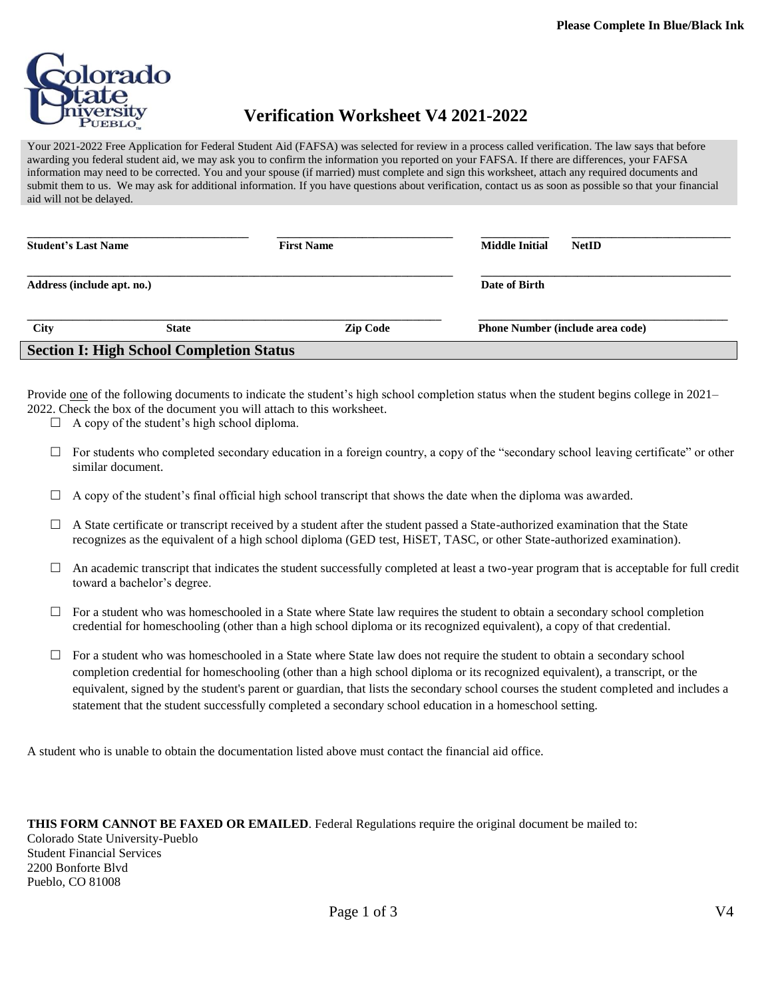

## **Verification Worksheet V4 2021-2022**

Your 2021-2022 Free Application for Federal Student Aid (FAFSA) was selected for review in a process called verification. The law says that before awarding you federal student aid, we may ask you to confirm the information you reported on your FAFSA. If there are differences, your FAFSA information may need to be corrected. You and your spouse (if married) must complete and sign this worksheet, attach any required documents and submit them to us. We may ask for additional information. If you have questions about verification, contact us as soon as possible so that your financial aid will not be delayed.

| <b>Student's Last Name</b>                      |              | <b>First Name</b> | <b>Middle Initial</b><br><b>NetID</b>   |  |  |  |
|-------------------------------------------------|--------------|-------------------|-----------------------------------------|--|--|--|
| Address (include apt. no.)                      |              |                   | Date of Birth                           |  |  |  |
| <b>City</b>                                     | <b>State</b> | <b>Zip Code</b>   | <b>Phone Number (include area code)</b> |  |  |  |
| <b>Section I: High School Completion Status</b> |              |                   |                                         |  |  |  |

Provide <u>one</u> of the following documents to indicate the student's high school completion status when the student begins college in 2021– 2022. Check the box of the document you will attach to this worksheet.

- $\Box$  A copy of the student's high school diploma.
- $\Box$  For students who completed secondary education in a foreign country, a copy of the "secondary school leaving certificate" or other similar document.
- $\Box$  A copy of the student's final official high school transcript that shows the date when the diploma was awarded.
- $\Box$  A State certificate or transcript received by a student after the student passed a State-authorized examination that the State recognizes as the equivalent of a high school diploma (GED test, HiSET, TASC, or other State-authorized examination).
- $\Box$  An academic transcript that indicates the student successfully completed at least a two-year program that is acceptable for full credit toward a bachelor's degree.
- $\Box$  For a student who was homeschooled in a State where State law requires the student to obtain a secondary school completion credential for homeschooling (other than a high school diploma or its recognized equivalent), a copy of that credential.
- $\Box$  For a student who was homeschooled in a State where State law does not require the student to obtain a secondary school completion credential for homeschooling (other than a high school diploma or its recognized equivalent), a transcript, or the equivalent, signed by the student's parent or guardian, that lists the secondary school courses the student completed and includes a statement that the student successfully completed a secondary school education in a homeschool setting.

A student who is unable to obtain the documentation listed above must contact the financial aid office.

**THIS FORM CANNOT BE FAXED OR EMAILED**. Federal Regulations require the original document be mailed to: Colorado State University-Pueblo Student Financial Services 2200 Bonforte Blvd Pueblo, CO 81008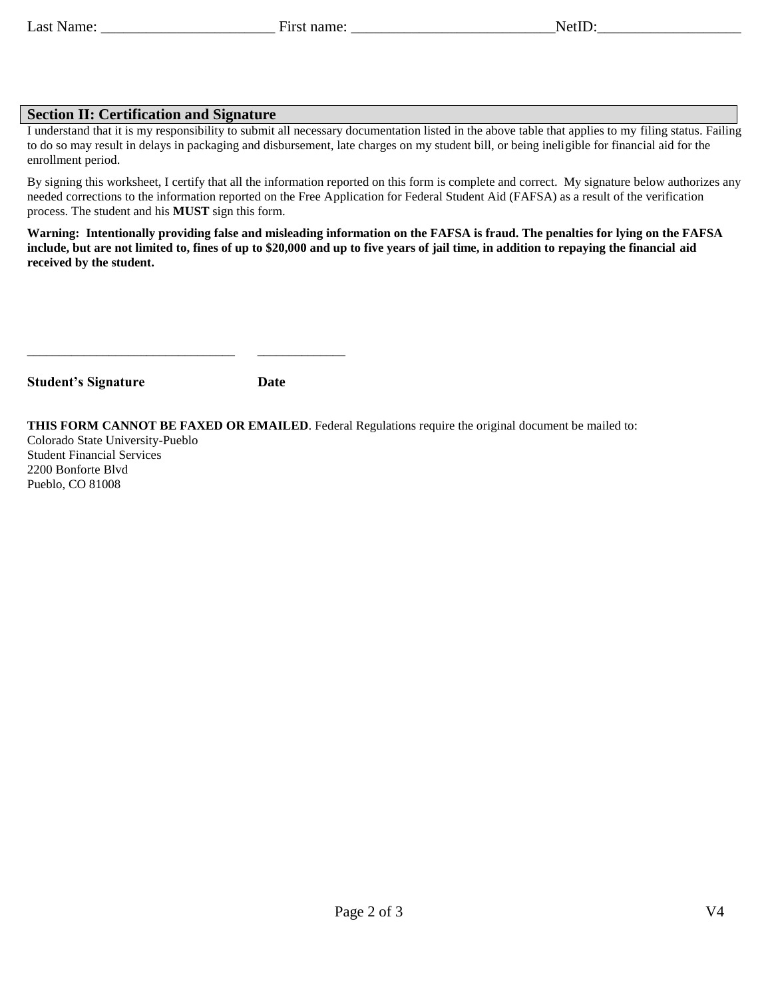## **Section II: Certification and Signature**

I understand that it is my responsibility to submit all necessary documentation listed in the above table that applies to my filing status. Failing to do so may result in delays in packaging and disbursement, late charges on my student bill, or being ineligible for financial aid for the enrollment period.

By signing this worksheet, I certify that all the information reported on this form is complete and correct. My signature below authorizes any needed corrections to the information reported on the Free Application for Federal Student Aid (FAFSA) as a result of the verification process. The student and his **MUST** sign this form.

**Warning: Intentionally providing false and misleading information on the FAFSA is fraud. The penalties for lying on the FAFSA include, but are not limited to, fines of up to \$20,000 and up to five years of jail time, in addition to repaying the financial aid received by the student.**

| <b>Student's Signature</b> | Date |
|----------------------------|------|

\_\_\_\_\_\_\_\_\_\_\_\_\_\_\_\_\_\_\_\_\_\_\_\_\_\_\_\_\_\_\_\_\_ \_\_\_\_\_\_\_\_\_\_\_\_\_\_

**THIS FORM CANNOT BE FAXED OR EMAILED**. Federal Regulations require the original document be mailed to:

Colorado State University-Pueblo Student Financial Services 2200 Bonforte Blvd Pueblo, CO 81008